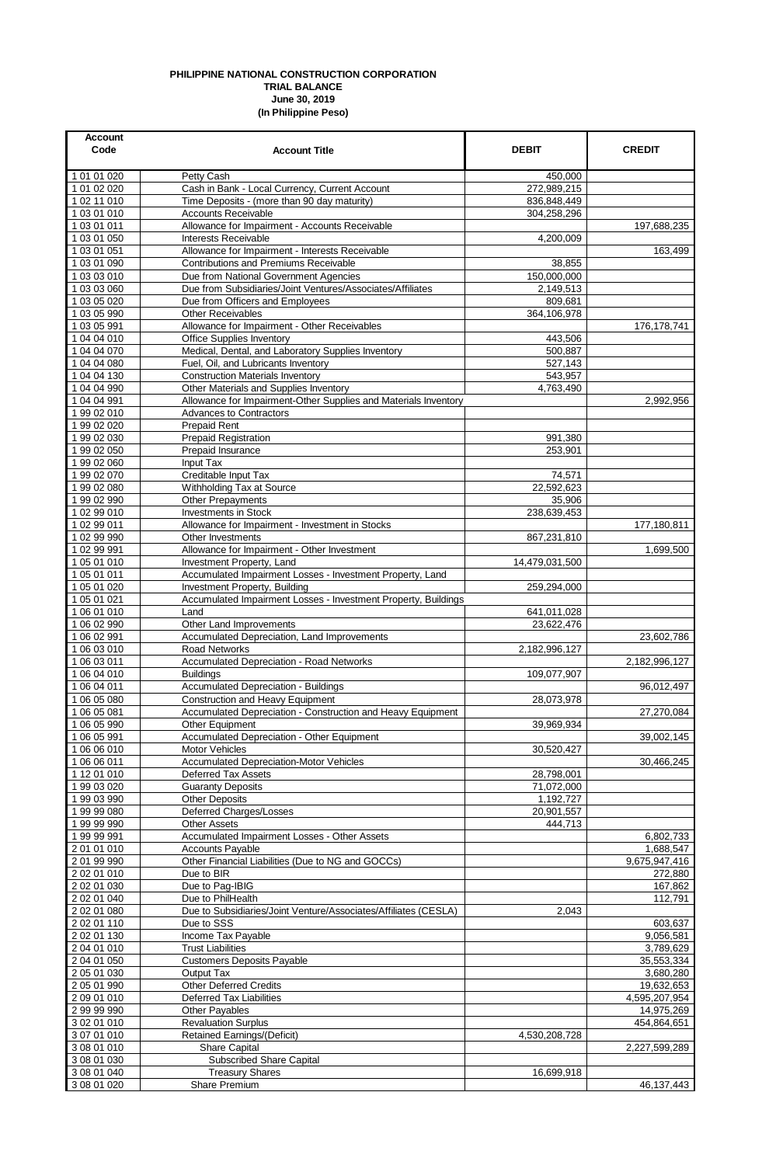## **PHILIPPINE NATIONAL CONSTRUCTION CORPORATION TRIAL BALANCE June 30, 2019 (In Philippine Peso)**

| <b>Account</b><br>Code     | <b>Account Title</b>                                                                   | <b>DEBIT</b>              | <b>CREDIT</b>             |
|----------------------------|----------------------------------------------------------------------------------------|---------------------------|---------------------------|
| 1 01 01 020                | Petty Cash                                                                             | 450,000                   |                           |
| 1 01 02 020                | Cash in Bank - Local Currency, Current Account                                         | 272,989,215               |                           |
| 1 02 11 010                | Time Deposits - (more than 90 day maturity)                                            | 836,848,449               |                           |
| 1 03 01 010<br>1 03 01 011 | <b>Accounts Receivable</b><br>Allowance for Impairment - Accounts Receivable           | 304,258,296               | 197,688,235               |
| 1 03 01 050                | <b>Interests Receivable</b>                                                            | 4,200,009                 |                           |
| 1 03 01 051                | Allowance for Impairment - Interests Receivable                                        |                           | 163,499                   |
| 1 03 01 090                | <b>Contributions and Premiums Receivable</b>                                           | 38.855                    |                           |
| 1 03 03 010                | Due from National Government Agencies                                                  | 150,000,000               |                           |
| 1 03 03 060                | Due from Subsidiaries/Joint Ventures/Associates/Affiliates                             | 2,149,513                 |                           |
| 1 03 05 020                | Due from Officers and Employees                                                        | 809,681                   |                           |
| 1 03 05 990                | <b>Other Receivables</b>                                                               | 364,106,978               |                           |
| 1 03 05 991<br>1 04 04 010 | Allowance for Impairment - Other Receivables                                           | 443,506                   | 176, 178, 741             |
| 1 04 04 070                | <b>Office Supplies Inventory</b><br>Medical, Dental, and Laboratory Supplies Inventory | 500,887                   |                           |
| 1 04 04 080                | Fuel, Oil, and Lubricants Inventory                                                    | 527,143                   |                           |
| 1 04 04 130                | <b>Construction Materials Inventory</b>                                                | 543,957                   |                           |
| 1 04 04 990                | Other Materials and Supplies Inventory                                                 | 4,763,490                 |                           |
| 1 04 04 991                | Allowance for Impairment-Other Supplies and Materials Inventory                        |                           | 2,992,956                 |
| 1 99 02 010                | <b>Advances to Contractors</b>                                                         |                           |                           |
| 1 99 02 020                | <b>Prepaid Rent</b>                                                                    |                           |                           |
| 1 99 02 030                | <b>Prepaid Registration</b>                                                            | 991,380                   |                           |
| 1 99 02 050                | Prepaid Insurance                                                                      | 253,901                   |                           |
| 1 99 02 060                | Input Tax                                                                              |                           |                           |
| 1 99 02 070<br>199 02 080  | Creditable Input Tax<br>Withholding Tax at Source                                      | 74,571<br>22,592,623      |                           |
| 1 99 02 990                | <b>Other Prepayments</b>                                                               | 35,906                    |                           |
| 102 99 010                 | <b>Investments in Stock</b>                                                            | 238,639,453               |                           |
| 1 02 99 011                | Allowance for Impairment - Investment in Stocks                                        |                           | 177,180,811               |
| 1 02 99 990                | Other Investments                                                                      | 867,231,810               |                           |
| 1 02 99 991                | Allowance for Impairment - Other Investment                                            |                           | 1,699,500                 |
| 1 05 01 010                | Investment Property, Land                                                              | 14,479,031,500            |                           |
| 1 05 01 011                | Accumulated Impairment Losses - Investment Property, Land                              |                           |                           |
| 1 05 01 020                | Investment Property, Building                                                          | 259,294,000               |                           |
| 1 05 01 021                | Accumulated Impairment Losses - Investment Property, Buildings                         |                           |                           |
| 1 06 01 010<br>1 06 02 990 | Land<br>Other Land Improvements                                                        | 641,011,028<br>23,622,476 |                           |
| 1 06 02 991                | Accumulated Depreciation, Land Improvements                                            |                           | 23,602,786                |
| 1 06 03 010                | <b>Road Networks</b>                                                                   | 2,182,996,127             |                           |
| 1 06 03 011                | Accumulated Depreciation - Road Networks                                               |                           | 2,182,996,127             |
| 1 06 04 010                | <b>Buildings</b>                                                                       | 109,077,907               |                           |
| 1 06 04 011                | <b>Accumulated Depreciation - Buildings</b>                                            |                           | 96,012,497                |
| 1 06 05 080                | Construction and Heavy Equipment                                                       | 28,073,978                |                           |
| 1 06 05 081                | Accumulated Depreciation - Construction and Heavy Equipment                            |                           | 27,270,084                |
| 1 06 05 990                | Other Equipment                                                                        | 39,969,934                |                           |
| 1 06 05 991<br>1 06 06 010 | Accumulated Depreciation - Other Equipment<br>Motor Vehicles                           | 30,520,427                | 39,002,145                |
| 1 06 06 011                | <b>Accumulated Depreciation-Motor Vehicles</b>                                         |                           | 30,466,245                |
| 1 12 01 010                | <b>Deferred Tax Assets</b>                                                             | 28,798,001                |                           |
| 1 99 03 020                | <b>Guaranty Deposits</b>                                                               | 71,072,000                |                           |
| 1 99 03 990                | <b>Other Deposits</b>                                                                  | 1,192,727                 |                           |
| 19999080                   | Deferred Charges/Losses                                                                | 20,901,557                |                           |
| 1 99 99 990                | <b>Other Assets</b>                                                                    | 444,713                   |                           |
| 1 99 99 991                | Accumulated Impairment Losses - Other Assets                                           |                           | 6,802,733                 |
| 2 01 01 010                | <b>Accounts Payable</b>                                                                |                           | 1,688,547                 |
| 2 01 99 990<br>2 02 01 010 | Other Financial Liabilities (Due to NG and GOCCs)<br>Due to BIR                        |                           | 9,675,947,416             |
| 2 02 01 030                | Due to Pag-IBIG                                                                        |                           | 272,880<br>167,862        |
| 2 02 01 040                | Due to PhilHealth                                                                      |                           | 112,791                   |
| 2 02 01 080                | Due to Subsidiaries/Joint Venture/Associates/Affiliates (CESLA)                        | 2,043                     |                           |
| 2 02 01 110                | Due to SSS                                                                             |                           | 603,637                   |
| 2 02 01 130                | Income Tax Payable                                                                     |                           | 9,056,581                 |
| 2 04 01 010                | <b>Trust Liabilities</b>                                                               |                           | 3,789,629                 |
| 2 04 01 050                | <b>Customers Deposits Payable</b>                                                      |                           | 35,553,334                |
| 2 05 01 030                | Output Tax                                                                             |                           | 3,680,280                 |
| 2 05 01 990                | <b>Other Deferred Credits</b>                                                          |                           | 19,632,653                |
| 2 09 01 010                | <b>Deferred Tax Liabilities</b>                                                        |                           | 4,595,207,954             |
| 2 99 99 990<br>3 02 01 010 | Other Payables<br><b>Revaluation Surplus</b>                                           |                           | 14,975,269<br>454,864,651 |
| 3 07 01 010                | <b>Retained Earnings/(Deficit)</b>                                                     | 4,530,208,728             |                           |
| 3 08 01 010                | Share Capital                                                                          |                           | 2,227,599,289             |
| 3 08 01 030                | <b>Subscribed Share Capital</b>                                                        |                           |                           |
| 3 08 01 040                | <b>Treasury Shares</b>                                                                 | 16,699,918                |                           |
| 3 08 01 020                | Share Premium                                                                          |                           | 46,137,443                |